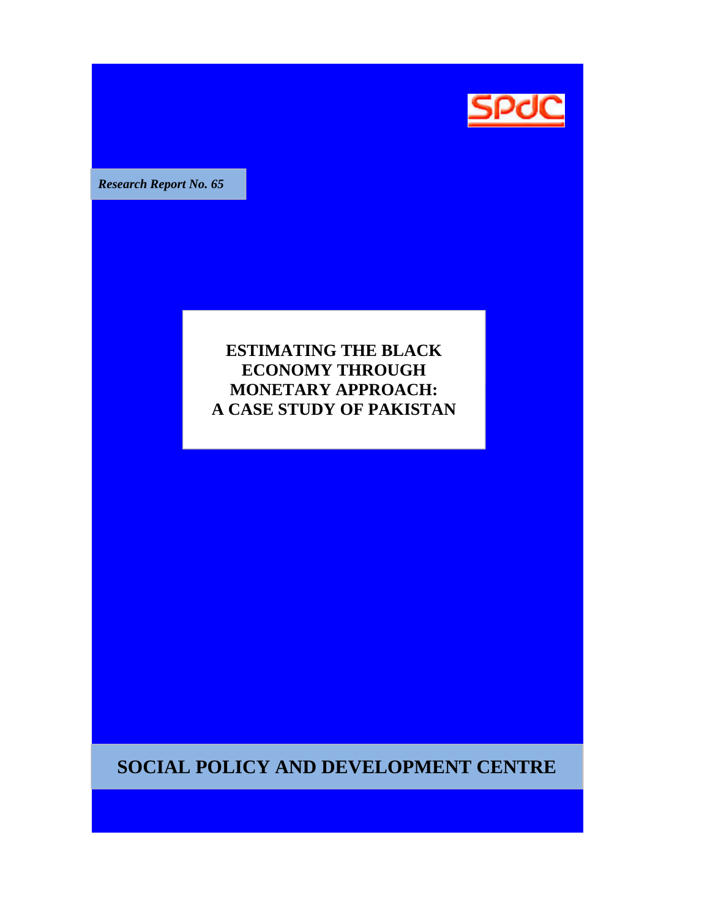

**Research Report No. 65** 

# **ESTIMATING THE BLACK ECONOMY THROUGH MONETARY APPROACH: APPROACH A CASE STUDY OF PAKISTAN**

**SOCIAL POLICY AND DEVELOPMENT CENTRE**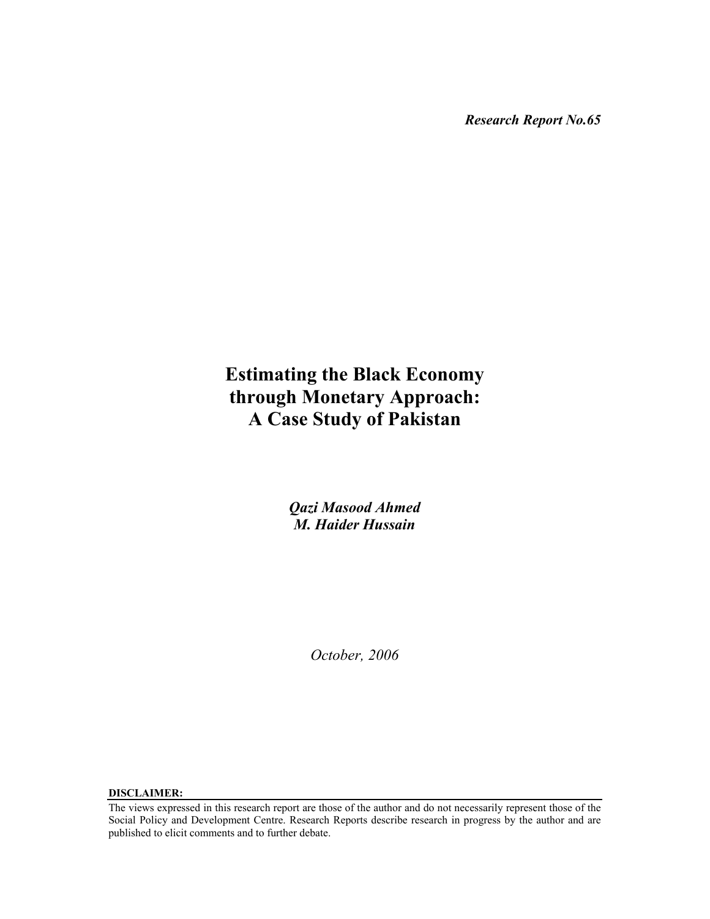*Research Report No.65* 

# **Estimating the Black Economy through Monetary Approach: A Case Study of Pakistan**

*Qazi Masood Ahmed M. Haider Hussain*

*October, 2006* 

**DISCLAIMER:** 

The views expressed in this research report are those of the author and do not necessarily represent those of the Social Policy and Development Centre. Research Reports describe research in progress by the author and are published to elicit comments and to further debate.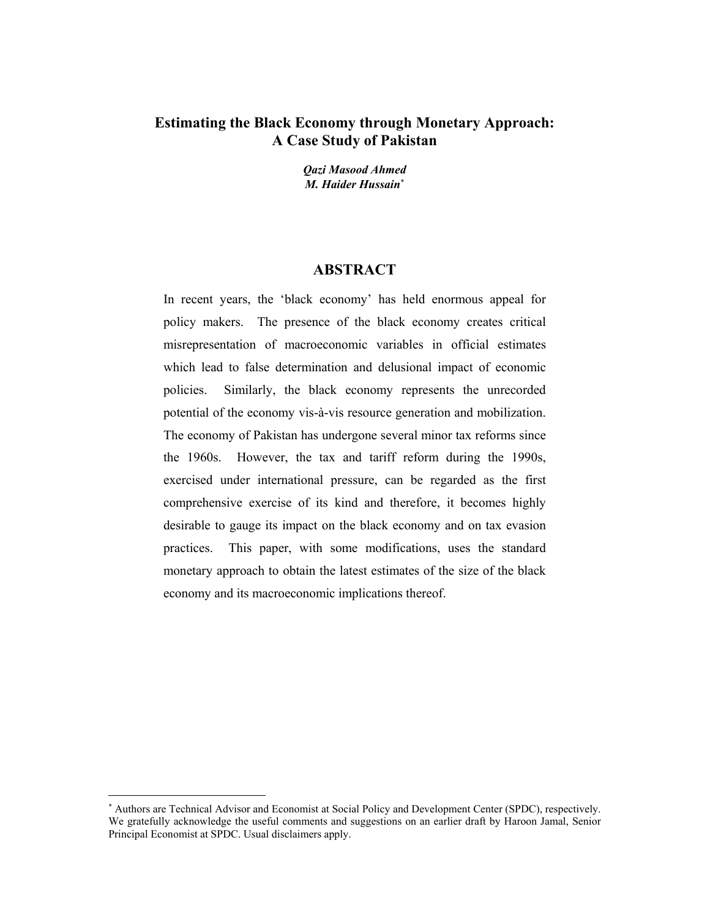## **Estimating the Black Economy through Monetary Approach: A Case Study of Pakistan**

*Qazi Masood Ahmed M. Haider Hussain*<sup>∗</sup>

### **ABSTRACT**

In recent years, the 'black economy' has held enormous appeal for policy makers. The presence of the black economy creates critical misrepresentation of macroeconomic variables in official estimates which lead to false determination and delusional impact of economic policies. Similarly, the black economy represents the unrecorded potential of the economy vis-à-vis resource generation and mobilization. The economy of Pakistan has undergone several minor tax reforms since the 1960s. However, the tax and tariff reform during the 1990s, exercised under international pressure, can be regarded as the first comprehensive exercise of its kind and therefore, it becomes highly desirable to gauge its impact on the black economy and on tax evasion practices. This paper, with some modifications, uses the standard monetary approach to obtain the latest estimates of the size of the black economy and its macroeconomic implications thereof.

 $\overline{a}$ 

<sup>∗</sup> Authors are Technical Advisor and Economist at Social Policy and Development Center (SPDC), respectively. We gratefully acknowledge the useful comments and suggestions on an earlier draft by Haroon Jamal, Senior Principal Economist at SPDC. Usual disclaimers apply.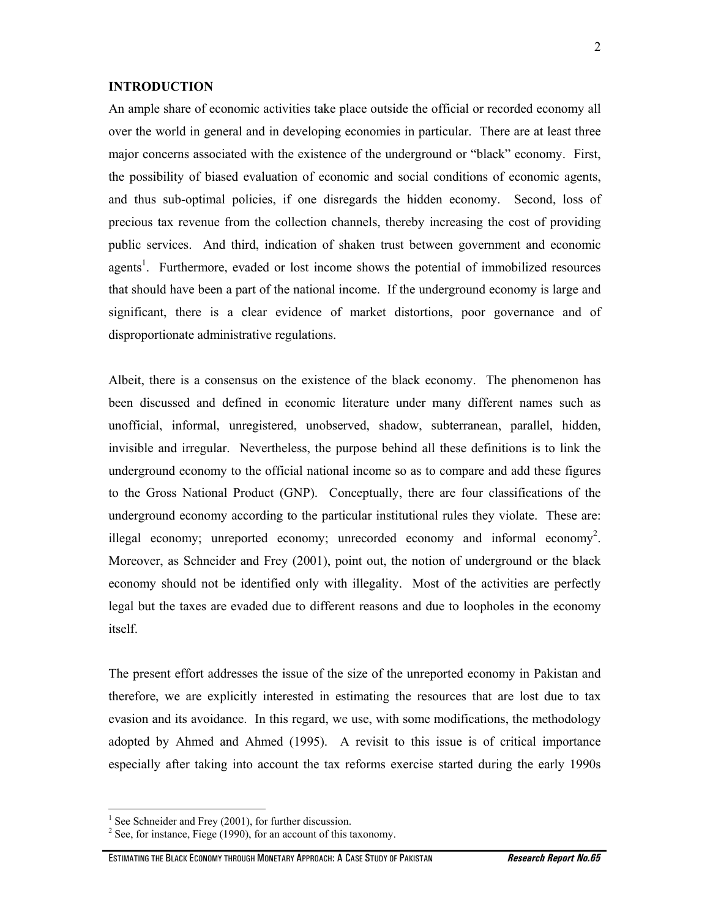#### **INTRODUCTION**

An ample share of economic activities take place outside the official or recorded economy all over the world in general and in developing economies in particular. There are at least three major concerns associated with the existence of the underground or "black" economy. First, the possibility of biased evaluation of economic and social conditions of economic agents, and thus sub-optimal policies, if one disregards the hidden economy. Second, loss of precious tax revenue from the collection channels, thereby increasing the cost of providing public services. And third, indication of shaken trust between government and economic agents<sup>1</sup>. Furthermore, evaded or lost income shows the potential of immobilized resources that should have been a part of the national income. If the underground economy is large and significant, there is a clear evidence of market distortions, poor governance and of disproportionate administrative regulations.

Albeit, there is a consensus on the existence of the black economy. The phenomenon has been discussed and defined in economic literature under many different names such as unofficial, informal, unregistered, unobserved, shadow, subterranean, parallel, hidden, invisible and irregular. Nevertheless, the purpose behind all these definitions is to link the underground economy to the official national income so as to compare and add these figures to the Gross National Product (GNP). Conceptually, there are four classifications of the underground economy according to the particular institutional rules they violate. These are: illegal economy; unreported economy; unrecorded economy and informal economy<sup>2</sup>. Moreover, as Schneider and Frey (2001), point out, the notion of underground or the black economy should not be identified only with illegality. Most of the activities are perfectly legal but the taxes are evaded due to different reasons and due to loopholes in the economy itself.

The present effort addresses the issue of the size of the unreported economy in Pakistan and therefore, we are explicitly interested in estimating the resources that are lost due to tax evasion and its avoidance. In this regard, we use, with some modifications, the methodology adopted by Ahmed and Ahmed (1995). A revisit to this issue is of critical importance especially after taking into account the tax reforms exercise started during the early 1990s

 $\overline{a}$ 

2

<sup>&</sup>lt;sup>1</sup> See Schneider and Frey (2001), for further discussion.

 $2^2$  See, for instance, Fiege (1990), for an account of this taxonomy.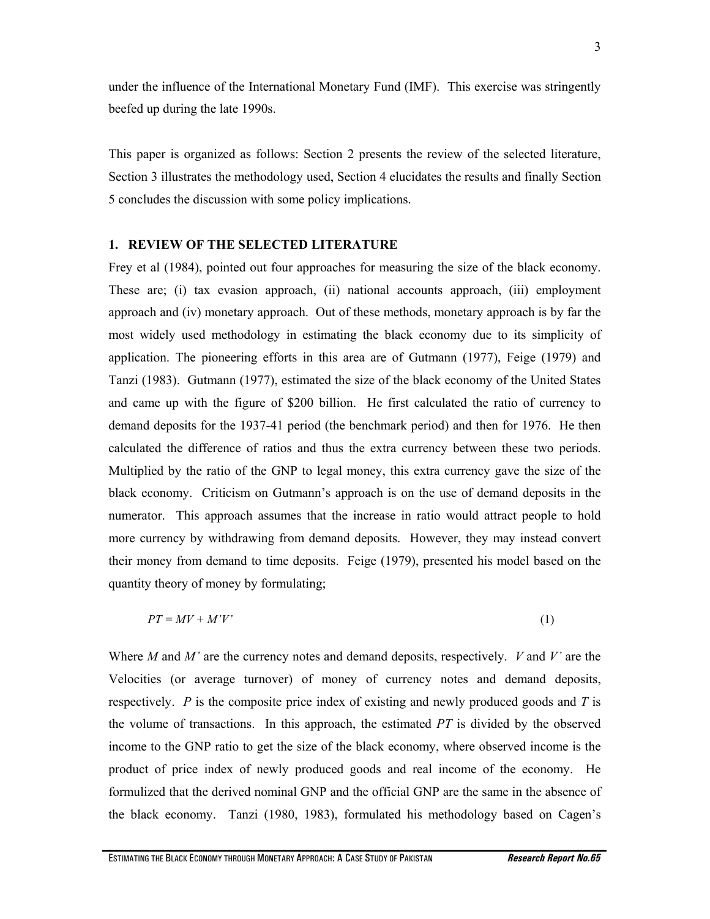under the influence of the International Monetary Fund (IMF). This exercise was stringently beefed up during the late 1990s.

This paper is organized as follows: Section 2 presents the review of the selected literature, Section 3 illustrates the methodology used, Section 4 elucidates the results and finally Section 5 concludes the discussion with some policy implications.

#### **1. REVIEW OF THE SELECTED LITERATURE**

Frey et al (1984), pointed out four approaches for measuring the size of the black economy. These are; (i) tax evasion approach, (ii) national accounts approach, (iii) employment approach and (iv) monetary approach. Out of these methods, monetary approach is by far the most widely used methodology in estimating the black economy due to its simplicity of application. The pioneering efforts in this area are of Gutmann (1977), Feige (1979) and Tanzi (1983). Gutmann (1977), estimated the size of the black economy of the United States and came up with the figure of \$200 billion. He first calculated the ratio of currency to demand deposits for the 1937-41 period (the benchmark period) and then for 1976. He then calculated the difference of ratios and thus the extra currency between these two periods. Multiplied by the ratio of the GNP to legal money, this extra currency gave the size of the black economy. Criticism on Gutmann's approach is on the use of demand deposits in the numerator. This approach assumes that the increase in ratio would attract people to hold more currency by withdrawing from demand deposits. However, they may instead convert their money from demand to time deposits. Feige (1979), presented his model based on the quantity theory of money by formulating;

$$
PT = MV + M'V'
$$
 (1)

Where *M* and *M'* are the currency notes and demand deposits, respectively. *V* and *V'* are the Velocities (or average turnover) of money of currency notes and demand deposits, respectively. *P* is the composite price index of existing and newly produced goods and *T* is the volume of transactions. In this approach, the estimated *PT* is divided by the observed income to the GNP ratio to get the size of the black economy, where observed income is the product of price index of newly produced goods and real income of the economy. He formulized that the derived nominal GNP and the official GNP are the same in the absence of the black economy. Tanzi (1980, 1983), formulated his methodology based on Cagen's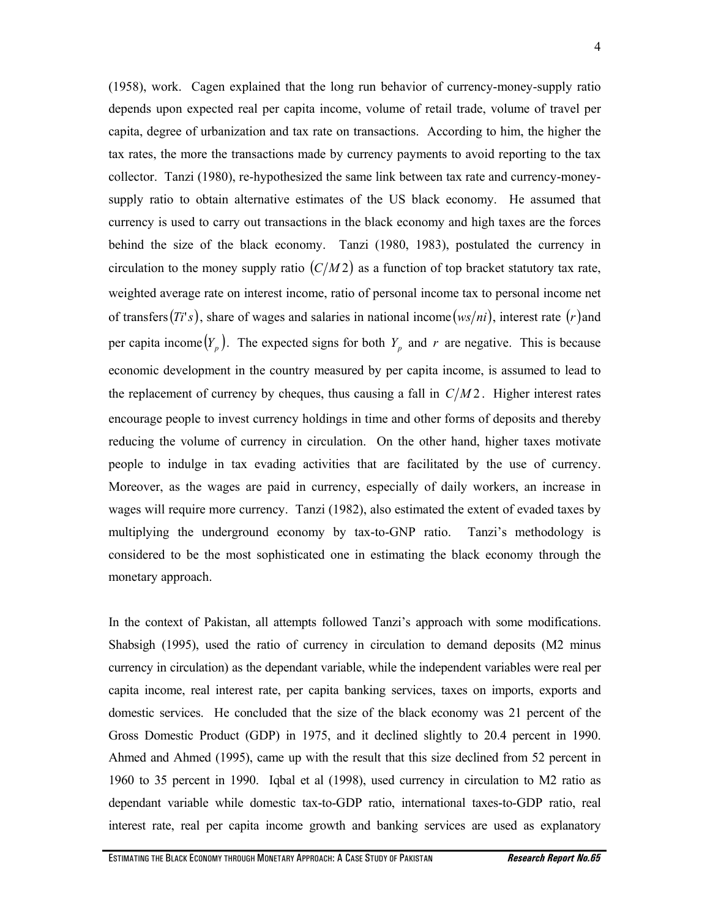(1958), work. Cagen explained that the long run behavior of currency-money-supply ratio depends upon expected real per capita income, volume of retail trade, volume of travel per capita, degree of urbanization and tax rate on transactions. According to him, the higher the tax rates, the more the transactions made by currency payments to avoid reporting to the tax collector. Tanzi (1980), re-hypothesized the same link between tax rate and currency-moneysupply ratio to obtain alternative estimates of the US black economy. He assumed that currency is used to carry out transactions in the black economy and high taxes are the forces behind the size of the black economy. Tanzi (1980, 1983), postulated the currency in circulation to the money supply ratio  $(C/M2)$  as a function of top bracket statutory tax rate, weighted average rate on interest income, ratio of personal income tax to personal income net of transfers( $Ti's$ ), share of wages and salaries in national income( $ws/ni$ ), interest rate (*r*) and per capita income  $(Y_p)$ . The expected signs for both  $Y_p$  and  $r$  are negative. This is because economic development in the country measured by per capita income, is assumed to lead to the replacement of currency by cheques, thus causing a fall in  $C/M2$ . Higher interest rates encourage people to invest currency holdings in time and other forms of deposits and thereby reducing the volume of currency in circulation. On the other hand, higher taxes motivate people to indulge in tax evading activities that are facilitated by the use of currency. Moreover, as the wages are paid in currency, especially of daily workers, an increase in wages will require more currency. Tanzi (1982), also estimated the extent of evaded taxes by multiplying the underground economy by tax-to-GNP ratio. Tanzi's methodology is considered to be the most sophisticated one in estimating the black economy through the monetary approach.

In the context of Pakistan, all attempts followed Tanzi's approach with some modifications. Shabsigh (1995), used the ratio of currency in circulation to demand deposits (M2 minus currency in circulation) as the dependant variable, while the independent variables were real per capita income, real interest rate, per capita banking services, taxes on imports, exports and domestic services. He concluded that the size of the black economy was 21 percent of the Gross Domestic Product (GDP) in 1975, and it declined slightly to 20.4 percent in 1990. Ahmed and Ahmed (1995), came up with the result that this size declined from 52 percent in 1960 to 35 percent in 1990. Iqbal et al (1998), used currency in circulation to M2 ratio as dependant variable while domestic tax-to-GDP ratio, international taxes-to-GDP ratio, real interest rate, real per capita income growth and banking services are used as explanatory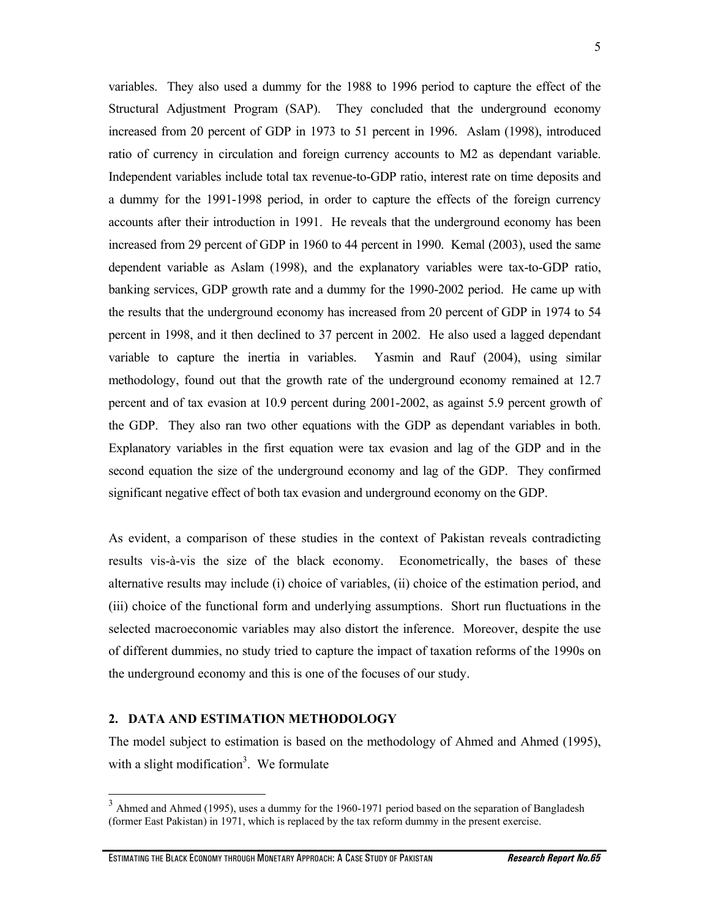5

variables. They also used a dummy for the 1988 to 1996 period to capture the effect of the Structural Adjustment Program (SAP). They concluded that the underground economy increased from 20 percent of GDP in 1973 to 51 percent in 1996. Aslam (1998), introduced ratio of currency in circulation and foreign currency accounts to M2 as dependant variable. Independent variables include total tax revenue-to-GDP ratio, interest rate on time deposits and a dummy for the 1991-1998 period, in order to capture the effects of the foreign currency accounts after their introduction in 1991. He reveals that the underground economy has been increased from 29 percent of GDP in 1960 to 44 percent in 1990. Kemal (2003), used the same dependent variable as Aslam (1998), and the explanatory variables were tax-to-GDP ratio, banking services, GDP growth rate and a dummy for the 1990-2002 period. He came up with the results that the underground economy has increased from 20 percent of GDP in 1974 to 54 percent in 1998, and it then declined to 37 percent in 2002. He also used a lagged dependant variable to capture the inertia in variables. Yasmin and Rauf (2004), using similar methodology, found out that the growth rate of the underground economy remained at 12.7 percent and of tax evasion at 10.9 percent during 2001-2002, as against 5.9 percent growth of the GDP. They also ran two other equations with the GDP as dependant variables in both. Explanatory variables in the first equation were tax evasion and lag of the GDP and in the second equation the size of the underground economy and lag of the GDP. They confirmed significant negative effect of both tax evasion and underground economy on the GDP.

As evident, a comparison of these studies in the context of Pakistan reveals contradicting results vis-à-vis the size of the black economy. Econometrically, the bases of these alternative results may include (i) choice of variables, (ii) choice of the estimation period, and (iii) choice of the functional form and underlying assumptions. Short run fluctuations in the selected macroeconomic variables may also distort the inference. Moreover, despite the use of different dummies, no study tried to capture the impact of taxation reforms of the 1990s on the underground economy and this is one of the focuses of our study.

#### **2. DATA AND ESTIMATION METHODOLOGY**

 $\overline{a}$ 

The model subject to estimation is based on the methodology of Ahmed and Ahmed (1995), with a slight modification<sup>3</sup>. We formulate

 $3$  Ahmed and Ahmed (1995), uses a dummy for the 1960-1971 period based on the separation of Bangladesh (former East Pakistan) in 1971, which is replaced by the tax reform dummy in the present exercise.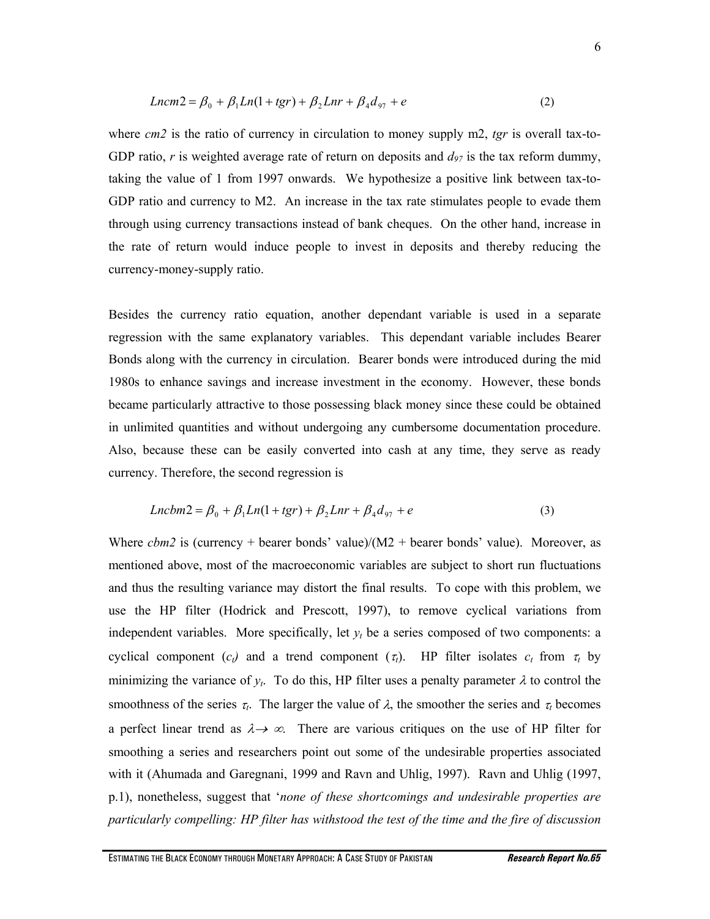$$
Lncm2 = \beta_0 + \beta_1 Ln(1 + tgr) + \beta_2 Lnr + \beta_4 d_{97} + e
$$
 (2)

where *cm2* is the ratio of currency in circulation to money supply m2, *tgr* is overall tax-to-GDP ratio, r is weighted average rate of return on deposits and  $d_{97}$  is the tax reform dummy, taking the value of 1 from 1997 onwards. We hypothesize a positive link between tax-to-GDP ratio and currency to M2. An increase in the tax rate stimulates people to evade them through using currency transactions instead of bank cheques. On the other hand, increase in the rate of return would induce people to invest in deposits and thereby reducing the currency-money-supply ratio.

Besides the currency ratio equation, another dependant variable is used in a separate regression with the same explanatory variables. This dependant variable includes Bearer Bonds along with the currency in circulation. Bearer bonds were introduced during the mid 1980s to enhance savings and increase investment in the economy. However, these bonds became particularly attractive to those possessing black money since these could be obtained in unlimited quantities and without undergoing any cumbersome documentation procedure. Also, because these can be easily converted into cash at any time, they serve as ready currency. Therefore, the second regression is

$$
Lncbm2 = \beta_0 + \beta_1 Ln(1 + tgr) + \beta_2 Lnr + \beta_4 d_{97} + e
$$
 (3)

Where *cbm2* is (currency + bearer bonds' value)/( $M2$  + bearer bonds' value). Moreover, as mentioned above, most of the macroeconomic variables are subject to short run fluctuations and thus the resulting variance may distort the final results. To cope with this problem, we use the HP filter (Hodrick and Prescott, 1997), to remove cyclical variations from independent variables. More specifically, let  $y_t$  be a series composed of two components: a cyclical component  $(c_t)$  and a trend component  $(\tau_t)$ . HP filter isolates  $c_t$  from  $\tau_t$  by minimizing the variance of  $y_t$ . To do this, HP filter uses a penalty parameter  $\lambda$  to control the smoothness of the series  $\tau_t$ . The larger the value of  $\lambda$ , the smoother the series and  $\tau_t$  becomes a perfect linear trend as  $\lambda \rightarrow \infty$ . There are various critiques on the use of HP filter for smoothing a series and researchers point out some of the undesirable properties associated with it (Ahumada and Garegnani, 1999 and Ravn and Uhlig, 1997). Ravn and Uhlig (1997, p.1), nonetheless, suggest that '*none of these shortcomings and undesirable properties are particularly compelling: HP filter has withstood the test of the time and the fire of discussion*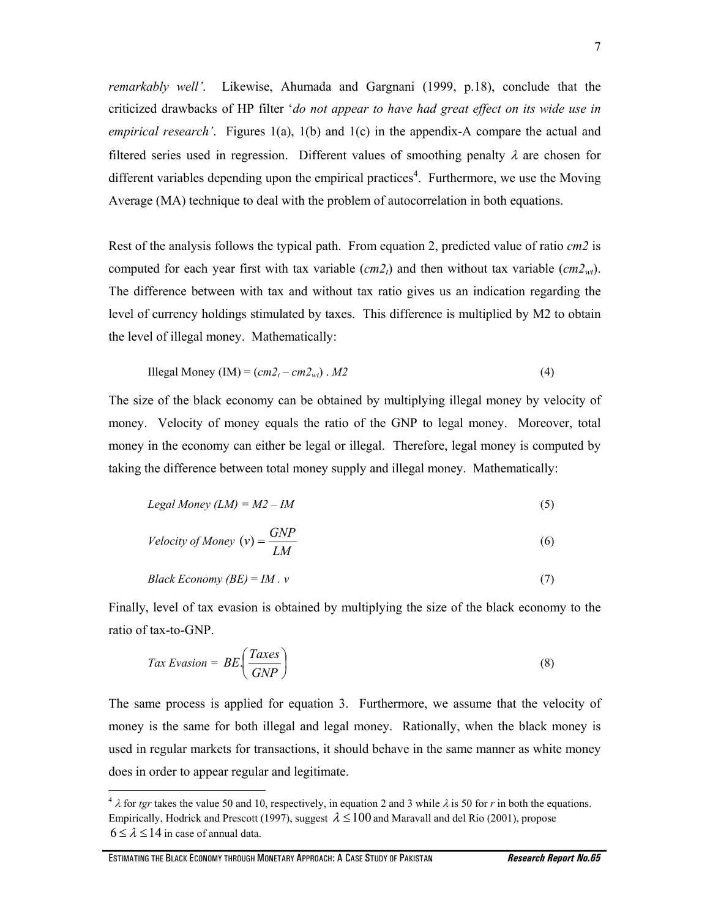*remarkably well'*. Likewise, Ahumada and Gargnani (1999, p.18), conclude that the criticized drawbacks of HP filter '*do not appear to have had great effect on its wide use in empirical research'*. Figures 1(a), 1(b) and 1(c) in the appendix-A compare the actual and filtered series used in regression. Different values of smoothing penalty  $\lambda$  are chosen for different variables depending upon the empirical practices<sup>4</sup>. Furthermore, we use the Moving Average (MA) technique to deal with the problem of autocorrelation in both equations.

Rest of the analysis follows the typical path. From equation 2, predicted value of ratio *cm2* is computed for each year first with tax variable  $(cm2<sub>t</sub>)$  and then without tax variable  $(cm2<sub>w</sub>)$ . The difference between with tax and without tax ratio gives us an indication regarding the level of currency holdings stimulated by taxes. This difference is multiplied by M2 to obtain the level of illegal money. Mathematically:

$$
H\text{llegal Money (IM)} = (cm2_t - cm2_{wt}) \cdot M2 \tag{4}
$$

The size of the black economy can be obtained by multiplying illegal money by velocity of money. Velocity of money equals the ratio of the GNP to legal money. Moreover, total money in the economy can either be legal or illegal. Therefore, legal money is computed by taking the difference between total money supply and illegal money. Mathematically:

$$
Legal \, Money \, (LM) = M2 - IM \tag{5}
$$

$$
Velocity of Money (v) = \frac{GNP}{LM}
$$
 (6)

$$
Black Economy (BE) = IM \cdot v \tag{7}
$$

Finally, level of tax evasion is obtained by multiplying the size of the black economy to the ratio of tax-to-GNP.

$$
Tax\ Evasion = BE\left(\frac{Taxes}{GNP}\right) \tag{8}
$$

The same process is applied for equation 3. Furthermore, we assume that the velocity of money is the same for both illegal and legal money. Rationally, when the black money is used in regular markets for transactions, it should behave in the same manner as white money does in order to appear regular and legitimate.

 $\overline{a}$ 

<sup>&</sup>lt;sup>4</sup>  $\lambda$  for *tgr* takes the value 50 and 10, respectively, in equation 2 and 3 while  $\lambda$  is 50 for *r* in both the equations. Empirically, Hodrick and Prescott (1997), suggest  $\lambda \le 100$  and Maravall and del Rio (2001), propose  $6 \le \lambda \le 14$  in case of annual data.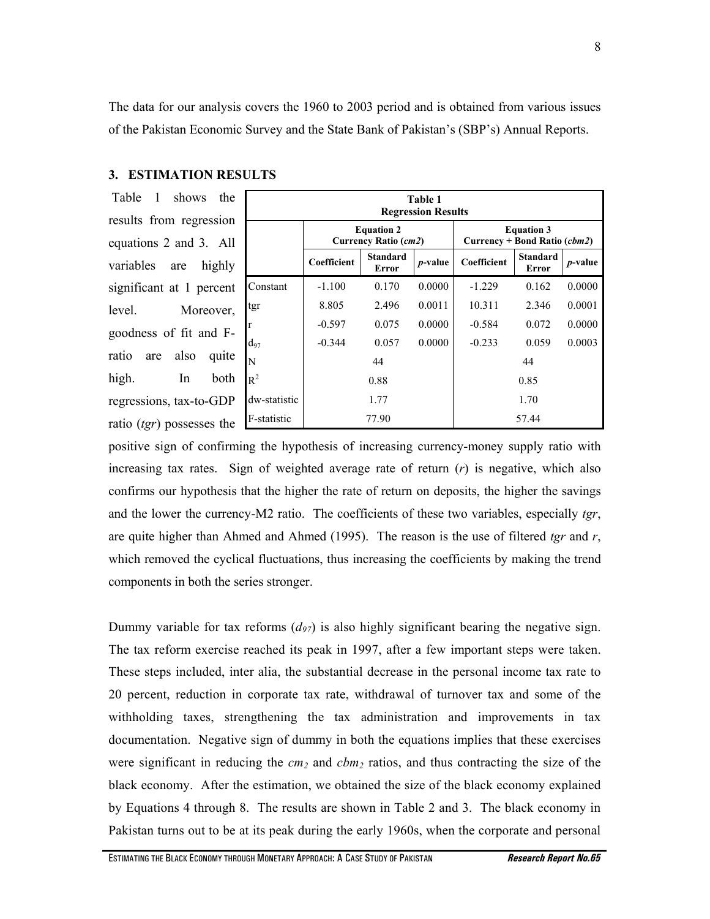The data for our analysis covers the 1960 to 2003 period and is obtained from various issues of the Pakistan Economic Survey and the State Bank of Pakistan's (SBP's) Annual Reports.

## **3. ESTIMATION RESULTS**

 Table 1 shows the results from regression equations 2 and 3. All variables are highly significant at 1 percent level. Moreover, goodness of fit and Fratio are also quite high. In both regressions, tax-to-GDP ratio (*tgr*) possesses the

| Table 1<br><b>Regression Results</b> |                                           |                          |            |                                                   |                          |            |  |
|--------------------------------------|-------------------------------------------|--------------------------|------------|---------------------------------------------------|--------------------------|------------|--|
|                                      | <b>Equation 2</b><br>Currency Ratio (cm2) |                          |            | <b>Equation 3</b><br>Currency + Bond Ratio (cbm2) |                          |            |  |
|                                      | Coefficient                               | <b>Standard</b><br>Error | $p$ -value | Coefficient                                       | <b>Standard</b><br>Error | $p$ -value |  |
| Constant                             | $-1.100$                                  | 0.170                    | 0.0000     | $-1.229$                                          | 0.162                    | 0.0000     |  |
| tgr                                  | 8.805                                     | 2.496                    | 0.0011     | 10.311                                            | 2.346                    | 0.0001     |  |
| $\mathbf r$                          | $-0.597$                                  | 0.075                    | 0.0000     | $-0.584$                                          | 0.072                    | 0.0000     |  |
| $d_{97}$                             | $-0.344$                                  | 0.057                    | 0.0000     | $-0.233$                                          | 0.059                    | 0.0003     |  |
| N                                    | 44                                        |                          |            | 44                                                |                          |            |  |
| $R^2$                                | 0.88                                      |                          |            | 0.85                                              |                          |            |  |
| dw-statistic                         | 1.77                                      |                          |            | 1.70                                              |                          |            |  |
| F-statistic                          | 77.90                                     |                          |            | 57.44                                             |                          |            |  |

positive sign of confirming the hypothesis of increasing currency-money supply ratio with increasing tax rates. Sign of weighted average rate of return  $(r)$  is negative, which also confirms our hypothesis that the higher the rate of return on deposits, the higher the savings and the lower the currency-M2 ratio. The coefficients of these two variables, especially *tgr*, are quite higher than Ahmed and Ahmed (1995). The reason is the use of filtered *tgr* and *r*, which removed the cyclical fluctuations, thus increasing the coefficients by making the trend components in both the series stronger.

Dummy variable for tax reforms  $(d_{97})$  is also highly significant bearing the negative sign. The tax reform exercise reached its peak in 1997, after a few important steps were taken. These steps included, inter alia, the substantial decrease in the personal income tax rate to 20 percent, reduction in corporate tax rate, withdrawal of turnover tax and some of the withholding taxes, strengthening the tax administration and improvements in tax documentation. Negative sign of dummy in both the equations implies that these exercises were significant in reducing the  $cm_2$  and  $cbm_2$  ratios, and thus contracting the size of the black economy. After the estimation, we obtained the size of the black economy explained by Equations 4 through 8. The results are shown in Table 2 and 3. The black economy in Pakistan turns out to be at its peak during the early 1960s, when the corporate and personal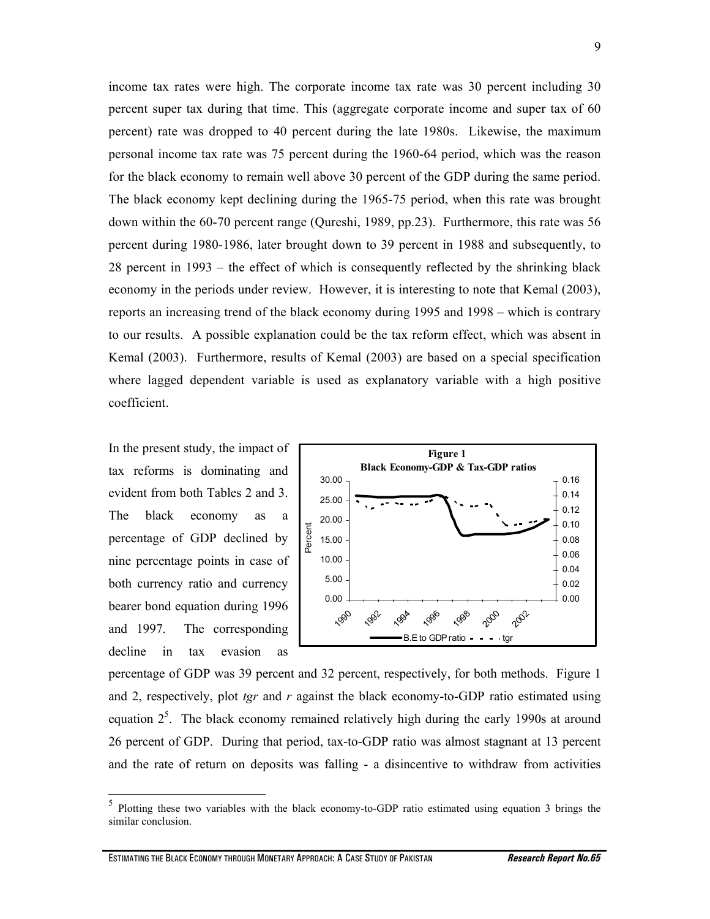income tax rates were high. The corporate income tax rate was 30 percent including 30 percent super tax during that time. This (aggregate corporate income and super tax of 60 percent) rate was dropped to 40 percent during the late 1980s. Likewise, the maximum personal income tax rate was 75 percent during the 1960-64 period, which was the reason for the black economy to remain well above 30 percent of the GDP during the same period. The black economy kept declining during the 1965-75 period, when this rate was brought down within the 60-70 percent range (Qureshi, 1989, pp.23). Furthermore, this rate was 56 percent during 1980-1986, later brought down to 39 percent in 1988 and subsequently, to 28 percent in 1993 – the effect of which is consequently reflected by the shrinking black economy in the periods under review. However, it is interesting to note that Kemal (2003), reports an increasing trend of the black economy during 1995 and 1998 – which is contrary to our results. A possible explanation could be the tax reform effect, which was absent in Kemal (2003). Furthermore, results of Kemal (2003) are based on a special specification where lagged dependent variable is used as explanatory variable with a high positive coefficient.

In the present study, the impact of tax reforms is dominating and evident from both Tables 2 and 3. The black economy as a percentage of GDP declined by nine percentage points in case of both currency ratio and currency bearer bond equation during 1996 and 1997. The corresponding decline in tax evasion as

 $\overline{a}$ 



percentage of GDP was 39 percent and 32 percent, respectively, for both methods. Figure 1 and 2, respectively, plot *tgr* and *r* against the black economy-to-GDP ratio estimated using equation  $2<sup>5</sup>$ . The black economy remained relatively high during the early 1990s at around 26 percent of GDP. During that period, tax-to-GDP ratio was almost stagnant at 13 percent and the rate of return on deposits was falling - a disincentive to withdraw from activities

<sup>5</sup> Plotting these two variables with the black economy-to-GDP ratio estimated using equation 3 brings the similar conclusion.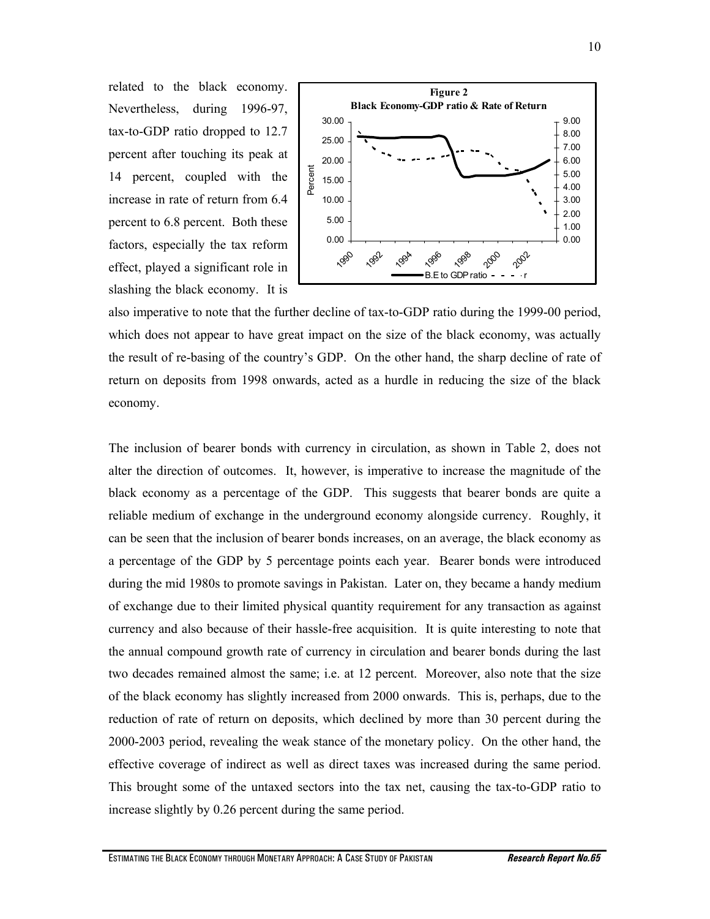related to the black economy. Nevertheless, during 1996-97, tax-to-GDP ratio dropped to 12.7 percent after touching its peak at 14 percent, coupled with the increase in rate of return from 6.4 percent to 6.8 percent. Both these factors, especially the tax reform effect, played a significant role in slashing the black economy. It is



also imperative to note that the further decline of tax-to-GDP ratio during the 1999-00 period, which does not appear to have great impact on the size of the black economy, was actually the result of re-basing of the country's GDP. On the other hand, the sharp decline of rate of return on deposits from 1998 onwards, acted as a hurdle in reducing the size of the black economy.

The inclusion of bearer bonds with currency in circulation, as shown in Table 2, does not alter the direction of outcomes. It, however, is imperative to increase the magnitude of the black economy as a percentage of the GDP. This suggests that bearer bonds are quite a reliable medium of exchange in the underground economy alongside currency. Roughly, it can be seen that the inclusion of bearer bonds increases, on an average, the black economy as a percentage of the GDP by 5 percentage points each year. Bearer bonds were introduced during the mid 1980s to promote savings in Pakistan. Later on, they became a handy medium of exchange due to their limited physical quantity requirement for any transaction as against currency and also because of their hassle-free acquisition. It is quite interesting to note that the annual compound growth rate of currency in circulation and bearer bonds during the last two decades remained almost the same; i.e. at 12 percent. Moreover, also note that the size of the black economy has slightly increased from 2000 onwards. This is, perhaps, due to the reduction of rate of return on deposits, which declined by more than 30 percent during the 2000-2003 period, revealing the weak stance of the monetary policy. On the other hand, the effective coverage of indirect as well as direct taxes was increased during the same period. This brought some of the untaxed sectors into the tax net, causing the tax-to-GDP ratio to increase slightly by 0.26 percent during the same period.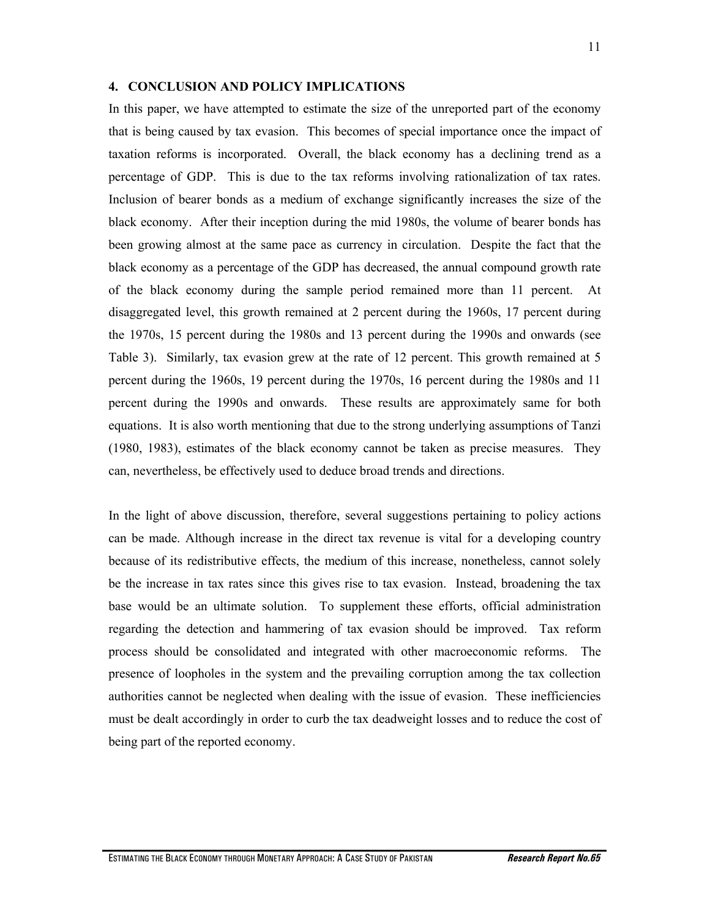#### **4. CONCLUSION AND POLICY IMPLICATIONS**

In this paper, we have attempted to estimate the size of the unreported part of the economy that is being caused by tax evasion. This becomes of special importance once the impact of taxation reforms is incorporated. Overall, the black economy has a declining trend as a percentage of GDP. This is due to the tax reforms involving rationalization of tax rates. Inclusion of bearer bonds as a medium of exchange significantly increases the size of the black economy. After their inception during the mid 1980s, the volume of bearer bonds has been growing almost at the same pace as currency in circulation. Despite the fact that the black economy as a percentage of the GDP has decreased, the annual compound growth rate of the black economy during the sample period remained more than 11 percent. At disaggregated level, this growth remained at 2 percent during the 1960s, 17 percent during the 1970s, 15 percent during the 1980s and 13 percent during the 1990s and onwards (see Table 3). Similarly, tax evasion grew at the rate of 12 percent. This growth remained at 5 percent during the 1960s, 19 percent during the 1970s, 16 percent during the 1980s and 11 percent during the 1990s and onwards. These results are approximately same for both equations. It is also worth mentioning that due to the strong underlying assumptions of Tanzi (1980, 1983), estimates of the black economy cannot be taken as precise measures. They can, nevertheless, be effectively used to deduce broad trends and directions.

In the light of above discussion, therefore, several suggestions pertaining to policy actions can be made. Although increase in the direct tax revenue is vital for a developing country because of its redistributive effects, the medium of this increase, nonetheless, cannot solely be the increase in tax rates since this gives rise to tax evasion. Instead, broadening the tax base would be an ultimate solution. To supplement these efforts, official administration regarding the detection and hammering of tax evasion should be improved. Tax reform process should be consolidated and integrated with other macroeconomic reforms. The presence of loopholes in the system and the prevailing corruption among the tax collection authorities cannot be neglected when dealing with the issue of evasion. These inefficiencies must be dealt accordingly in order to curb the tax deadweight losses and to reduce the cost of being part of the reported economy.

ESTIMATING THE BLACK ECONOMY THROUGH MONETARY APPROACH: A CASE STUDY OF PAKISTAN *Research Report No.65*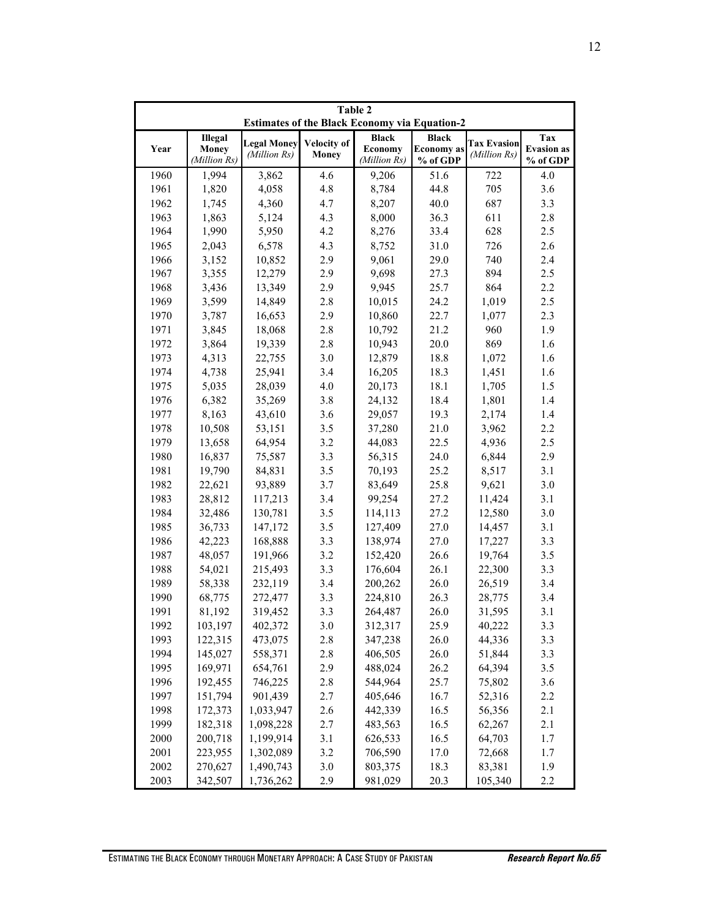| Table 2<br><b>Estimates of the Black Economy via Equation-2</b> |              |                    |             |                |                   |                    |                   |  |
|-----------------------------------------------------------------|--------------|--------------------|-------------|----------------|-------------------|--------------------|-------------------|--|
| Illegal                                                         |              |                    |             | <b>Black</b>   | <b>Black</b>      |                    | Tax               |  |
| Year                                                            | <b>Money</b> | <b>Legal Money</b> | Velocity of | <b>Economy</b> | <b>Economy</b> as | <b>Tax Evasion</b> | <b>Evasion</b> as |  |
|                                                                 | (Million Rs) | (Million Rs)       | Money       | (Million Rs)   | % of GDP          | (Million Rs)       | % of GDP          |  |
| 1960                                                            | 1,994        | 3,862              | 4.6         | 9,206          | 51.6              | 722                | 4.0               |  |
| 1961                                                            | 1,820        | 4,058              | 4.8         | 8,784          | 44.8              | 705                | 3.6               |  |
| 1962                                                            | 1,745        | 4,360              | 4.7         | 8,207          | 40.0              | 687                | 3.3               |  |
| 1963                                                            | 1,863        | 5,124              | 4.3         | 8,000          | 36.3              | 611                | 2.8               |  |
| 1964                                                            | 1,990        | 5,950              | 4.2         | 8,276          | 33.4              | 628                | 2.5               |  |
| 1965                                                            | 2,043        | 6,578              | 4.3         | 8,752          | 31.0              | 726                | 2.6               |  |
| 1966                                                            | 3,152        | 10,852             | 2.9         | 9,061          | 29.0              | 740                | 2.4               |  |
| 1967                                                            | 3,355        | 12,279             | 2.9         | 9,698          | 27.3              | 894                | 2.5               |  |
| 1968                                                            | 3,436        | 13,349             | 2.9         | 9,945          | 25.7              | 864                | 2.2               |  |
| 1969                                                            | 3,599        | 14,849             | 2.8         | 10,015         | 24.2              | 1,019              | 2.5               |  |
| 1970                                                            | 3,787        | 16,653             | 2.9         | 10,860         | 22.7              | 1,077              | 2.3               |  |
| 1971                                                            | 3,845        | 18,068             | 2.8         | 10,792         | 21.2              | 960                | 1.9               |  |
| 1972                                                            | 3,864        | 19,339             | 2.8         | 10,943         | 20.0              | 869                | 1.6               |  |
| 1973                                                            | 4,313        | 22,755             | 3.0         | 12,879         | 18.8              | 1,072              | 1.6               |  |
| 1974                                                            | 4,738        | 25,941             | 3.4         | 16,205         | 18.3              | 1,451              | 1.6               |  |
| 1975                                                            | 5,035        | 28,039             | 4.0         | 20,173         | 18.1              | 1,705              | 1.5               |  |
| 1976                                                            | 6,382        | 35,269             | 3.8         | 24,132         | 18.4              | 1,801              | 1.4               |  |
| 1977                                                            | 8,163        | 43,610             | 3.6         | 29,057         | 19.3              | 2,174              | 1.4               |  |
| 1978                                                            | 10,508       | 53,151             | 3.5         | 37,280         | 21.0              | 3,962              | 2.2               |  |
| 1979                                                            | 13,658       | 64,954             | 3.2         | 44,083         | 22.5              | 4,936              | 2.5               |  |
| 1980                                                            | 16,837       | 75,587             | 3.3         | 56,315         | 24.0              | 6,844              | 2.9               |  |
| 1981                                                            | 19,790       | 84,831             | 3.5         | 70,193         | 25.2              | 8,517              | 3.1               |  |
| 1982                                                            | 22,621       | 93,889             | 3.7         | 83,649         | 25.8              | 9,621              | 3.0               |  |
| 1983                                                            | 28,812       | 117,213            | 3.4         | 99,254         | 27.2              | 11,424             | 3.1               |  |
| 1984                                                            | 32,486       | 130,781            | 3.5         | 114,113        | 27.2              | 12,580             | 3.0               |  |
| 1985                                                            | 36,733       | 147,172            | 3.5         | 127,409        | 27.0              | 14,457             | 3.1               |  |
| 1986                                                            | 42,223       | 168,888            | 3.3         | 138,974        | 27.0              | 17,227             | 3.3               |  |
| 1987                                                            | 48,057       | 191,966            | 3.2         | 152,420        | 26.6              | 19,764             | 3.5               |  |
| 1988                                                            | 54,021       | 215,493            | 3.3         | 176,604        | 26.1              | 22,300             | 3.3               |  |
| 1989                                                            | 58,338       | 232,119            | 3.4         | 200,262        | 26.0              | 26,519             | 3.4               |  |
| 1990                                                            | 68,775       | 272,477            | 3.3         | 224,810        | 26.3              | 28,775             | 3.4               |  |
| 1991                                                            | 81,192       | 319,452            | 3.3         | 264,487        | 26.0              | 31,595             | 3.1               |  |
| 1992                                                            | 103,197      | 402,372            | 3.0         | 312,317        | 25.9              | 40,222             | 3.3               |  |
| 1993                                                            | 122,315      | 473,075            | 2.8         | 347,238        | 26.0              | 44,336             | 3.3               |  |
| 1994                                                            | 145,027      | 558,371            | 2.8         | 406,505        | 26.0              | 51,844             | 3.3               |  |
| 1995                                                            | 169,971      | 654,761            | 2.9         | 488,024        | 26.2              | 64,394             | 3.5               |  |
| 1996                                                            | 192,455      | 746,225            | 2.8         | 544,964        | 25.7              | 75,802             | $3.6\,$           |  |
| 1997                                                            | 151,794      | 901,439            | 2.7         | 405,646        | 16.7              | 52,316             | 2.2               |  |
| 1998                                                            | 172,373      | 1,033,947          | 2.6         | 442,339        | 16.5              | 56,356             | 2.1               |  |
| 1999                                                            | 182,318      | 1,098,228          | 2.7         | 483,563        | 16.5              | 62,267             | 2.1               |  |
| 2000                                                            | 200,718      | 1,199,914          | 3.1         | 626,533        | 16.5              | 64,703             | 1.7               |  |
| 2001                                                            | 223,955      | 1,302,089          | 3.2         | 706,590        | 17.0              | 72,668             | 1.7               |  |
| 2002                                                            | 270,627      | 1,490,743          | 3.0         | 803,375        | 18.3              | 83,381             | 1.9               |  |
| 2003                                                            | 342,507      | 1,736,262          | 2.9         | 981,029        | 20.3              | 105,340            | 2.2               |  |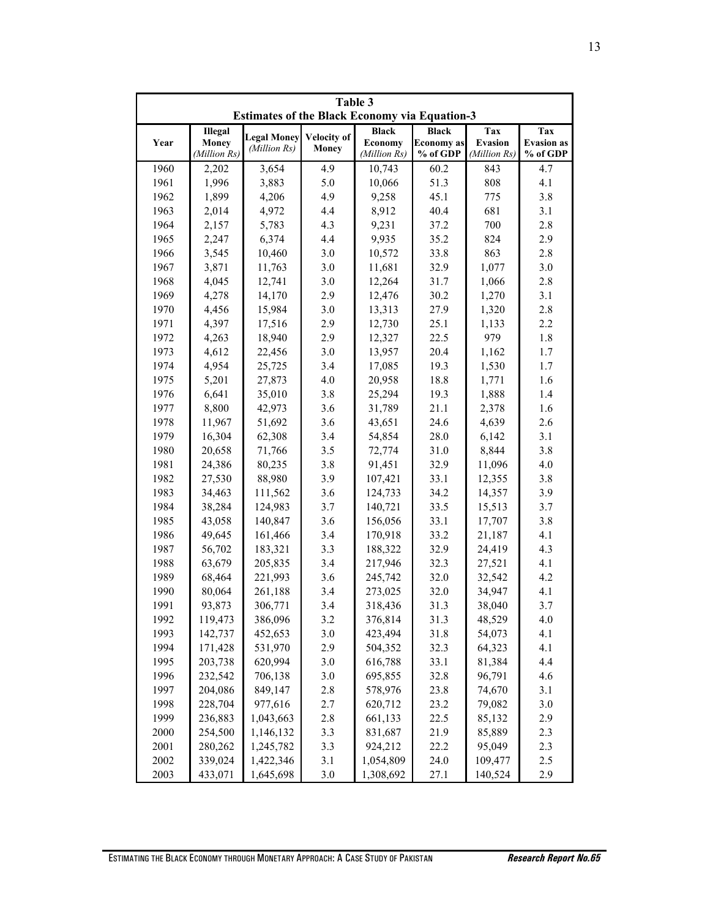| Table 3<br><b>Estimates of the Black Economy via Equation-3</b> |              |                    |                    |                                     |                   |                |                   |
|-----------------------------------------------------------------|--------------|--------------------|--------------------|-------------------------------------|-------------------|----------------|-------------------|
| Illegal                                                         |              |                    |                    | <b>Black</b><br><b>Black</b><br>Tax |                   |                | Tax               |
| Year                                                            | <b>Money</b> | <b>Legal Money</b> | <b>Velocity of</b> | <b>Economy</b>                      | <b>Economy</b> as | <b>Evasion</b> | <b>Evasion</b> as |
|                                                                 | (Million Rs) | (Million Rs)       | <b>Money</b>       | (Million Rs)                        | % of GDP          | (Million Rs)   | % of GDP          |
| 1960                                                            | 2,202        | 3,654              | 4.9                | 10,743                              | 60.2              | 843            | 4.7               |
| 1961                                                            | 1,996        | 3,883              | 5.0                | 10,066                              | 51.3              | 808            | 4.1               |
| 1962                                                            | 1,899        | 4,206              | 4.9                | 9,258                               | 45.1              | 775            | 3.8               |
| 1963                                                            | 2,014        | 4,972              | 4.4                | 8,912                               | 40.4              | 681            | 3.1               |
| 1964                                                            | 2,157        | 5,783              | 4.3                | 9,231                               | 37.2              | 700            | 2.8               |
| 1965                                                            | 2,247        | 6,374              | 4.4                | 9,935                               | 35.2              | 824            | 2.9               |
| 1966                                                            | 3,545        | 10,460             | 3.0                | 10,572                              | 33.8              | 863            | 2.8               |
| 1967                                                            | 3,871        | 11,763             | 3.0                | 11,681                              | 32.9              | 1,077          | 3.0               |
| 1968                                                            | 4,045        | 12,741             | 3.0                | 12,264                              | 31.7              | 1,066          | 2.8               |
| 1969                                                            | 4,278        | 14,170             | 2.9                | 12,476                              | 30.2              | 1,270          | 3.1               |
| 1970                                                            | 4,456        | 15,984             | 3.0                | 13,313                              | 27.9              | 1,320          | 2.8               |
| 1971                                                            | 4,397        | 17,516             | 2.9                | 12,730                              | 25.1              | 1,133          | 2.2               |
| 1972                                                            | 4,263        | 18,940             | 2.9                | 12,327                              | 22.5              | 979            | 1.8               |
| 1973                                                            | 4,612        | 22,456             | 3.0                | 13,957                              | 20.4              | 1,162          | 1.7               |
| 1974                                                            | 4,954        | 25,725             | 3.4                | 17,085                              | 19.3              | 1,530          | 1.7               |
| 1975                                                            | 5,201        | 27,873             | 4.0                | 20,958                              | 18.8              | 1,771          | 1.6               |
| 1976                                                            | 6,641        | 35,010             | 3.8                | 25,294                              | 19.3              | 1,888          | 1.4               |
| 1977                                                            | 8,800        | 42,973             | 3.6                | 31,789                              | 21.1              | 2,378          | 1.6               |
| 1978                                                            | 11,967       | 51,692             | 3.6                | 43,651                              | 24.6              | 4,639          | 2.6               |
| 1979                                                            | 16,304       | 62,308             | 3.4                | 54,854                              | 28.0              | 6,142          | 3.1               |
| 1980                                                            | 20,658       | 71,766             | 3.5                | 72,774                              | 31.0              | 8,844          | 3.8               |
| 1981                                                            | 24,386       | 80,235             | 3.8                | 91,451                              | 32.9              | 11,096         | 4.0               |
| 1982                                                            | 27,530       | 88,980             | 3.9                | 107,421                             | 33.1              | 12,355         | 3.8               |
| 1983                                                            | 34,463       | 111,562            | 3.6                | 124,733                             | 34.2              | 14,357         | 3.9               |
| 1984                                                            | 38,284       | 124,983            | 3.7                | 140,721                             | 33.5              | 15,513         | 3.7               |
| 1985                                                            | 43,058       | 140,847            | 3.6                | 156,056                             | 33.1              | 17,707         | 3.8               |
| 1986                                                            | 49,645       | 161,466            | 3.4                | 170,918                             | 33.2              | 21,187         | 4.1               |
| 1987                                                            | 56,702       | 183,321            | 3.3                | 188,322                             | 32.9              | 24,419         | 4.3               |
| 1988                                                            | 63,679       | 205,835            | 3.4                | 217,946                             | 32.3              | 27,521         | 4.1               |
| 1989                                                            | 68,464       | 221,993            | 3.6                | 245,742                             | 32.0              | 32,542         | 4.2               |
| 1990                                                            | 80,064       | 261,188            | 3.4                | 273,025                             | 32.0              | 34,947         | 4.1               |
| 1991                                                            | 93,873       | 306,771            | 3.4                | 318,436                             | 31.3              | 38,040         | 3.7               |
| 1992                                                            | 119,473      | 386,096            | 3.2                | 376,814                             | 31.3              | 48,529         | 4.0               |
| 1993                                                            | 142,737      | 452,653            | 3.0                | 423,494                             | 31.8              | 54,073         | 4.1               |
| 1994                                                            | 171,428      | 531,970            | 2.9                | 504,352                             | 32.3              | 64,323         | 4.1               |
| 1995                                                            | 203,738      | 620,994            | 3.0                | 616,788                             | 33.1              | 81,384         | 4.4               |
| 1996                                                            | 232,542      | 706,138            | $3.0\,$            | 695,855                             | 32.8              | 96,791         | 4.6               |
| 1997                                                            | 204,086      | 849,147            | 2.8                | 578,976                             | 23.8              | 74,670         | 3.1               |
| 1998                                                            | 228,704      | 977,616            | 2.7                | 620,712                             | 23.2              | 79,082         | 3.0               |
| 1999                                                            | 236,883      | 1,043,663          | 2.8                | 661,133                             | 22.5              | 85,132         | 2.9               |
| 2000                                                            | 254,500      | 1,146,132          | 3.3                | 831,687                             | 21.9              | 85,889         | 2.3               |
| 2001                                                            | 280,262      | 1,245,782          | 3.3                | 924,212                             | 22.2              | 95,049         | 2.3               |
| 2002                                                            | 339,024      | 1,422,346          | 3.1                | 1,054,809                           | 24.0              | 109,477        | 2.5               |
| 2003                                                            | 433,071      | 1,645,698          | 3.0                | 1,308,692                           | 27.1              | 140,524        | 2.9               |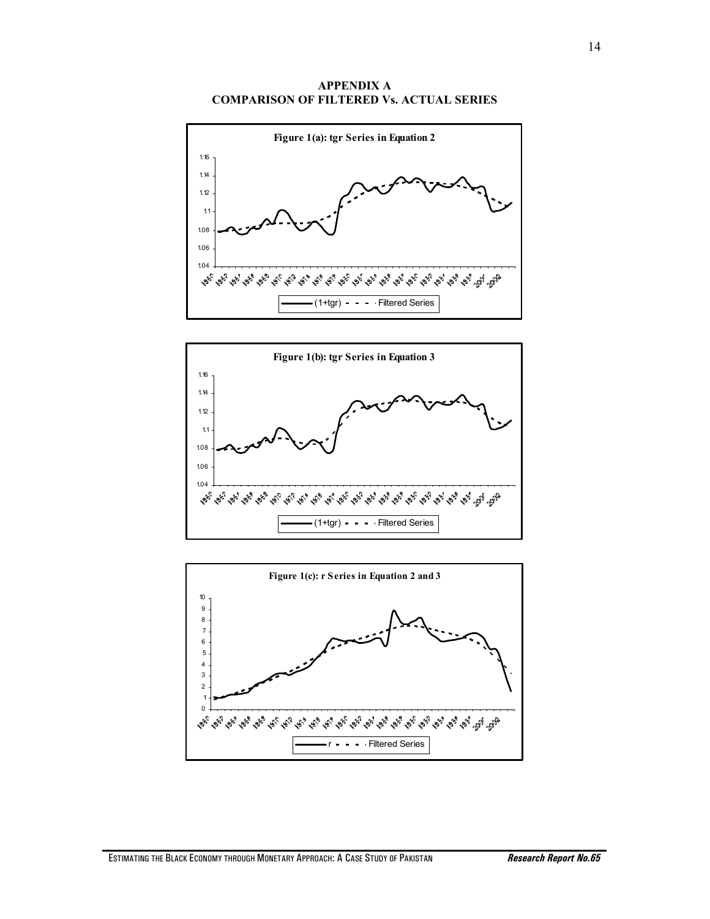#### **APPENDIX A COMPARISON OF FILTERED Vs. ACTUAL SERIES**





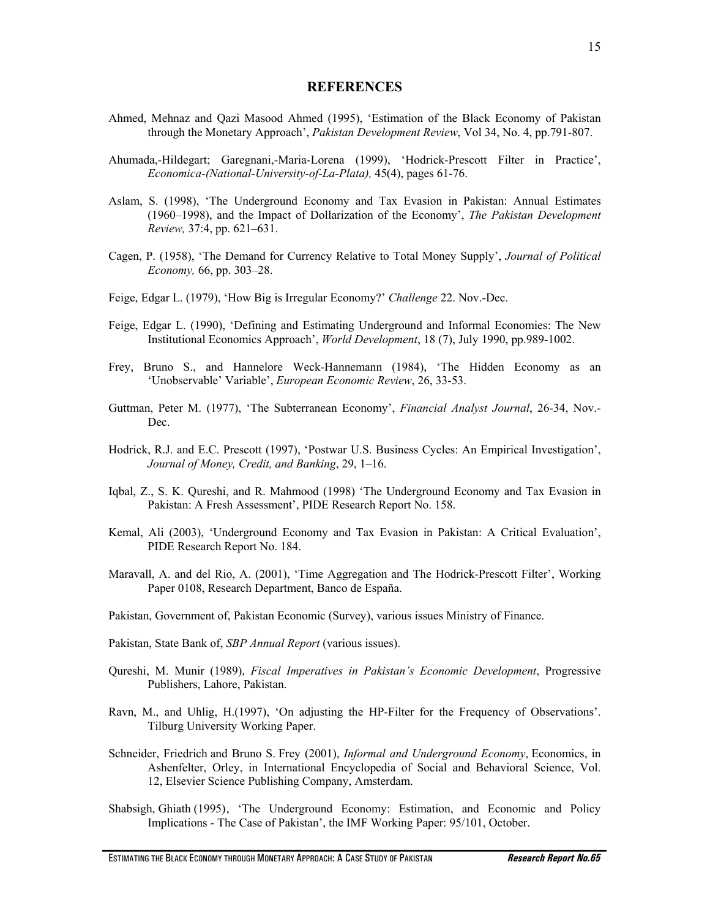#### **REFERENCES**

- Ahmed, Mehnaz and Qazi Masood Ahmed (1995), 'Estimation of the Black Economy of Pakistan through the Monetary Approach', *Pakistan Development Review*, Vol 34, No. 4, pp.791-807.
- Ahumada,-Hildegart; Garegnani,-Maria-Lorena (1999), 'Hodrick-Prescott Filter in Practice', *Economica-(National-University-of-La-Plata),* 45(4), pages 61-76.
- Aslam, S. (1998), 'The Underground Economy and Tax Evasion in Pakistan: Annual Estimates (1960–1998), and the Impact of Dollarization of the Economy', *The Pakistan Development Review,* 37:4, pp. 621–631.
- Cagen, P. (1958), 'The Demand for Currency Relative to Total Money Supply', *Journal of Political Economy,* 66, pp. 303–28.
- Feige, Edgar L. (1979), 'How Big is Irregular Economy?' *Challenge* 22. Nov.-Dec.
- Feige, Edgar L. (1990), 'Defining and Estimating Underground and Informal Economies: The New Institutional Economics Approach', *World Development*, 18 (7), July 1990, pp.989-1002.
- Frey, Bruno S., and Hannelore Weck-Hannemann (1984), 'The Hidden Economy as an 'Unobservable' Variable', *European Economic Review*, 26, 33-53.
- Guttman, Peter M. (1977), 'The Subterranean Economy', *Financial Analyst Journal*, 26-34, Nov.- Dec.
- Hodrick, R.J. and E.C. Prescott (1997), 'Postwar U.S. Business Cycles: An Empirical Investigation', *Journal of Money, Credit, and Banking*, 29, 1–16.
- Iqbal, Z., S. K. Qureshi, and R. Mahmood (1998) 'The Underground Economy and Tax Evasion in Pakistan: A Fresh Assessment', PIDE Research Report No. 158.
- Kemal, Ali (2003), 'Underground Economy and Tax Evasion in Pakistan: A Critical Evaluation', PIDE Research Report No. 184.
- Maravall, A. and del Rio, A. (2001), 'Time Aggregation and The Hodrick-Prescott Filter', Working Paper 0108, Research Department, Banco de España.
- Pakistan, Government of, Pakistan Economic (Survey), various issues Ministry of Finance.
- Pakistan, State Bank of, *SBP Annual Report* (various issues).
- Qureshi, M. Munir (1989), *Fiscal Imperatives in Pakistan's Economic Development*, Progressive Publishers, Lahore, Pakistan.
- Ravn, M., and Uhlig, H.(1997), 'On adjusting the HP-Filter for the Frequency of Observations'. Tilburg University Working Paper.
- Schneider, Friedrich and Bruno S. Frey (2001), *Informal and Underground Economy*, Economics, in Ashenfelter, Orley, in International Encyclopedia of Social and Behavioral Science, Vol. 12, Elsevier Science Publishing Company, Amsterdam.
- Shabsigh, Ghiath (1995) , 'The Underground Economy: Estimation, and Economic and Policy Implications - The Case of Pakistan', the IMF Working Paper: 95/101, October.